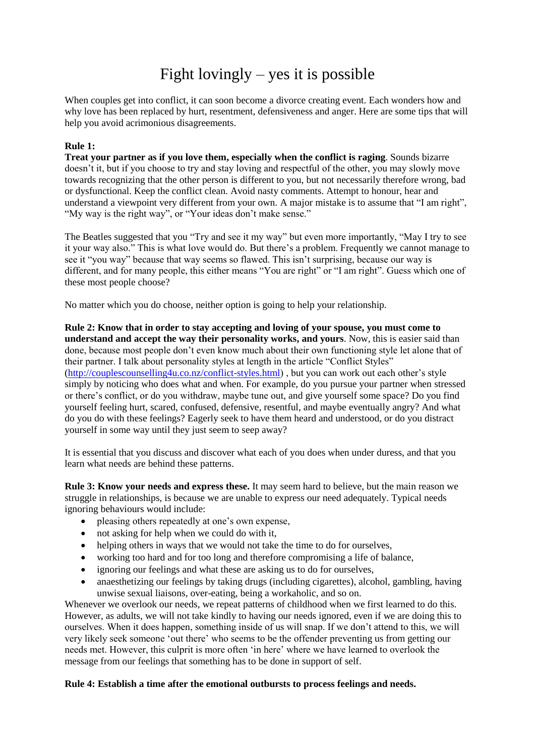## Fight lovingly – yes it is possible

When couples get into conflict, it can soon become a divorce creating event. Each wonders how and why love has been replaced by hurt, resentment, defensiveness and anger. Here are some tips that will help you avoid acrimonious disagreements.

## **Rule 1:**

**Treat your partner as if you love them, especially when the conflict is raging**. Sounds bizarre doesn't it, but if you choose to try and stay loving and respectful of the other, you may slowly move towards recognizing that the other person is different to you, but not necessarily therefore wrong, bad or dysfunctional. Keep the conflict clean. Avoid nasty comments. Attempt to honour, hear and understand a viewpoint very different from your own. A major mistake is to assume that "I am right", "My way is the right way", or "Your ideas don't make sense."

The Beatles suggested that you "Try and see it my way" but even more importantly, "May I try to see it your way also." This is what love would do. But there's a problem. Frequently we cannot manage to see it "you way" because that way seems so flawed. This isn't surprising, because our way is different, and for many people, this either means "You are right" or "I am right". Guess which one of these most people choose?

No matter which you do choose, neither option is going to help your relationship.

**Rule 2: Know that in order to stay accepting and loving of your spouse, you must come to understand and accept the way their personality works, and yours**. Now, this is easier said than done, because most people don't even know much about their own functioning style let alone that of their partner. I talk about personality styles at length in the article "Conflict Styles" [\(http://couplescounselling4u.co.nz/conflict-styles.html\)](http://couplescounselling4u.co.nz/conflict-styles.html) , but you can work out each other's style simply by noticing who does what and when. For example, do you pursue your partner when stressed or there's conflict, or do you withdraw, maybe tune out, and give yourself some space? Do you find yourself feeling hurt, scared, confused, defensive, resentful, and maybe eventually angry? And what do you do with these feelings? Eagerly seek to have them heard and understood, or do you distract yourself in some way until they just seem to seep away?

It is essential that you discuss and discover what each of you does when under duress, and that you learn what needs are behind these patterns.

**Rule 3: Know your needs and express these.** It may seem hard to believe, but the main reason we struggle in relationships, is because we are unable to express our need adequately. Typical needs ignoring behaviours would include:

- pleasing others repeatedly at one's own expense,
- not asking for help when we could do with it,
- helping others in ways that we would not take the time to do for ourselves,
- working too hard and for too long and therefore compromising a life of balance,
- ignoring our feelings and what these are asking us to do for ourselves,
- anaesthetizing our feelings by taking drugs (including cigarettes), alcohol, gambling, having unwise sexual liaisons, over-eating, being a workaholic, and so on.

Whenever we overlook our needs, we repeat patterns of childhood when we first learned to do this. However, as adults, we will not take kindly to having our needs ignored, even if we are doing this to ourselves. When it does happen, something inside of us will snap. If we don't attend to this, we will very likely seek someone 'out there' who seems to be the offender preventing us from getting our needs met. However, this culprit is more often 'in here' where we have learned to overlook the message from our feelings that something has to be done in support of self.

## **Rule 4: Establish a time after the emotional outbursts to process feelings and needs.**